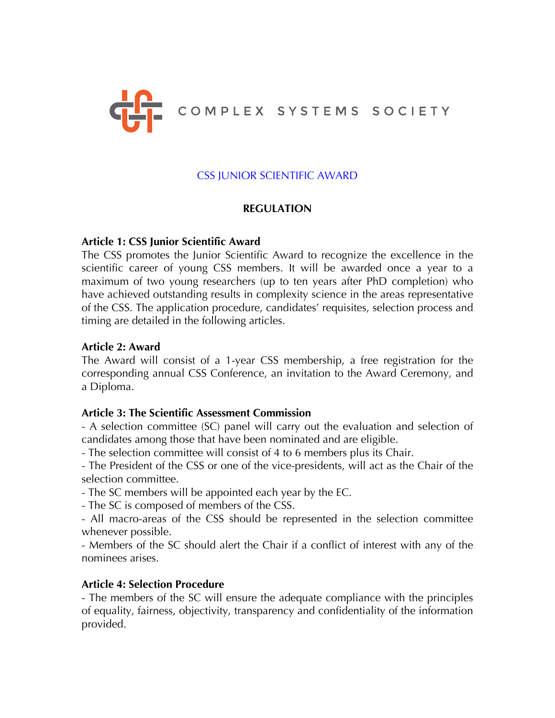

# CSS JUNIOR SCIENTIFIC AWARD

# **REGULATION**

### **Article 1: CSS Junior Scientific Award**

The CSS promotes the Junior Scientific Award to recognize the excellence in the scientific career of young CSS members. It will be awarded once a year to a maximum of two young researchers (up to ten years after PhD completion) who have achieved outstanding results in complexity science in the areas representative of the CSS. The application procedure, candidates' requisites, selection process and timing are detailed in the following articles.

#### **Article 2: Award**

The Award will consist of a 1-year CSS membership, a free registration for the corresponding annual CSS Conference, an invitation to the Award Ceremony, and a Diploma.

### **Article 3: The Scientific Assessment Commission**

- A selection committee (SC) panel will carry out the evaluation and selection of candidates among those that have been nominated and are eligible.

- The selection committee will consist of 4 to 6 members plus its Chair.

- The President of the CSS or one of the vice-presidents, will act as the Chair of the selection committee.

- The SC members will be appointed each year by the EC.

- The SC is composed of members of the CSS.

- All macro-areas of the CSS should be represented in the selection committee whenever possible.

- Members of the SC should alert the Chair if a conflict of interest with any of the nominees arises.

### **Article 4: Selection Procedure**

- The members of the SC will ensure the adequate compliance with the principles of equality, fairness, objectivity, transparency and confidentiality of the information provided.